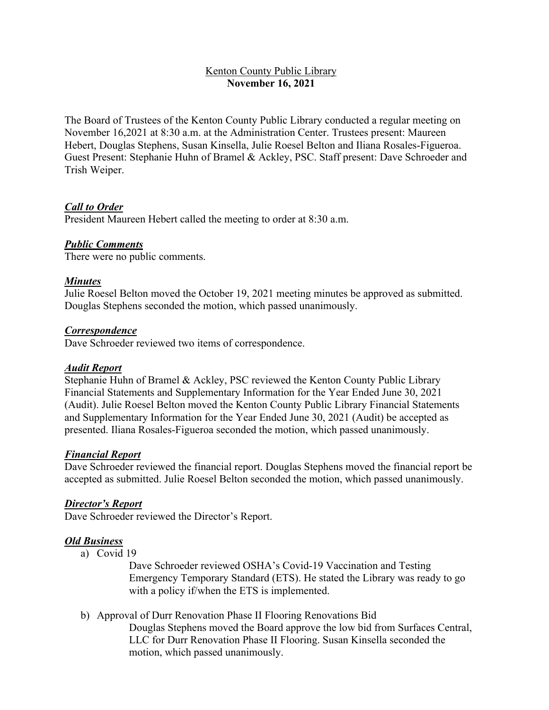## Kenton County Public Library **November 16, 2021**

The Board of Trustees of the Kenton County Public Library conducted a regular meeting on November 16,2021 at 8:30 a.m. at the Administration Center. Trustees present: Maureen Hebert, Douglas Stephens, Susan Kinsella, Julie Roesel Belton and Iliana Rosales-Figueroa. Guest Present: Stephanie Huhn of Bramel & Ackley, PSC. Staff present: Dave Schroeder and Trish Weiper.

## *Call to Order*

President Maureen Hebert called the meeting to order at 8:30 a.m.

#### *Public Comments*

There were no public comments.

## *Minutes*

Julie Roesel Belton moved the October 19, 2021 meeting minutes be approved as submitted. Douglas Stephens seconded the motion, which passed unanimously.

#### *Correspondence*

Dave Schroeder reviewed two items of correspondence.

#### *Audit Report*

Stephanie Huhn of Bramel & Ackley, PSC reviewed the Kenton County Public Library Financial Statements and Supplementary Information for the Year Ended June 30, 2021 (Audit). Julie Roesel Belton moved the Kenton County Public Library Financial Statements and Supplementary Information for the Year Ended June 30, 2021 (Audit) be accepted as presented. Iliana Rosales-Figueroa seconded the motion, which passed unanimously.

#### *Financial Report*

Dave Schroeder reviewed the financial report. Douglas Stephens moved the financial report be accepted as submitted. Julie Roesel Belton seconded the motion, which passed unanimously.

#### *Director's Report*

Dave Schroeder reviewed the Director's Report.

#### *Old Business*

a) Covid 19

Dave Schroeder reviewed OSHA's Covid-19 Vaccination and Testing Emergency Temporary Standard (ETS). He stated the Library was ready to go with a policy if/when the ETS is implemented.

b) Approval of Durr Renovation Phase II Flooring Renovations Bid

Douglas Stephens moved the Board approve the low bid from Surfaces Central, LLC for Durr Renovation Phase II Flooring. Susan Kinsella seconded the motion, which passed unanimously.